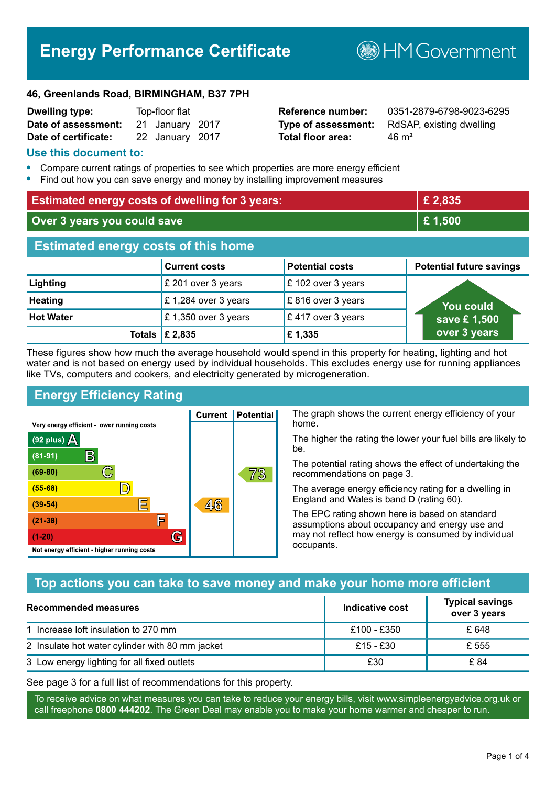# **Energy Performance Certificate**

**B**HMGovernment

#### **46, Greenlands Road, BIRMINGHAM, B37 7PH**

| <b>Dwelling type:</b> | Top-floor flat  |  |
|-----------------------|-----------------|--|
| Date of assessment:   | 21 January 2017 |  |
| Date of certificate:  | 22 January 2017 |  |

# **Total floor area:** 26 m<sup>2</sup>

**Reference number:** 0351-2879-6798-9023-6295 **Type of assessment:** RdSAP, existing dwelling

#### **Use this document to:**

- **•** Compare current ratings of properties to see which properties are more energy efficient
- **•** Find out how you can save energy and money by installing improvement measures

| <b>Estimated energy costs of dwelling for 3 years:</b> |                      |                        | £2,835                          |
|--------------------------------------------------------|----------------------|------------------------|---------------------------------|
| Over 3 years you could save                            |                      | £1,500                 |                                 |
| <b>Estimated energy costs of this home</b>             |                      |                        |                                 |
|                                                        | <b>Current costs</b> | <b>Potential costs</b> | <b>Potential future savings</b> |
| <b>Lighting</b>                                        | £ 201 over 3 years   | £102 over 3 years      |                                 |
| <b>Heating</b>                                         | £1,284 over 3 years  | £816 over 3 years      | You could                       |
| <b>Hot Water</b>                                       | £ 1,350 over 3 years | £417 over 3 years      | save £1,500                     |
| Totals                                                 | £ 2,835              | £1,335                 | over 3 years                    |

These figures show how much the average household would spend in this property for heating, lighting and hot water and is not based on energy used by individual households. This excludes energy use for running appliances like TVs, computers and cookers, and electricity generated by microgeneration.

**Current | Potential** 

 $46$ 

# **Energy Efficiency Rating**

 $\mathbb{C}$ 

 $\mathbb{D}$ 

E

庐

G

Very energy efficient - lower running costs

R

Not energy efficient - higher running costs

(92 plus)  $\Delta$ 

 $(81 - 91)$ 

 $(69 - 80)$ 

 $(55-68)$ 

 $(39 - 54)$ 

 $(21-38)$ 

 $(1-20)$ 

The graph shows the current energy efficiency of your home.

The higher the rating the lower your fuel bills are likely to be.

The potential rating shows the effect of undertaking the recommendations on page 3.

The average energy efficiency rating for a dwelling in England and Wales is band D (rating 60).

The EPC rating shown here is based on standard assumptions about occupancy and energy use and may not reflect how energy is consumed by individual occupants.

# **Top actions you can take to save money and make your home more efficient**

73

| Recommended measures                            | Indicative cost | <b>Typical savings</b><br>over 3 years |
|-------------------------------------------------|-----------------|----------------------------------------|
| 1 Increase loft insulation to 270 mm            | £100 - £350     | £ 648                                  |
| 2 Insulate hot water cylinder with 80 mm jacket | £15 - £30       | £ 555                                  |
| 3 Low energy lighting for all fixed outlets     | £30             | £ 84                                   |

See page 3 for a full list of recommendations for this property.

To receive advice on what measures you can take to reduce your energy bills, visit www.simpleenergyadvice.org.uk or call freephone **0800 444202**. The Green Deal may enable you to make your home warmer and cheaper to run.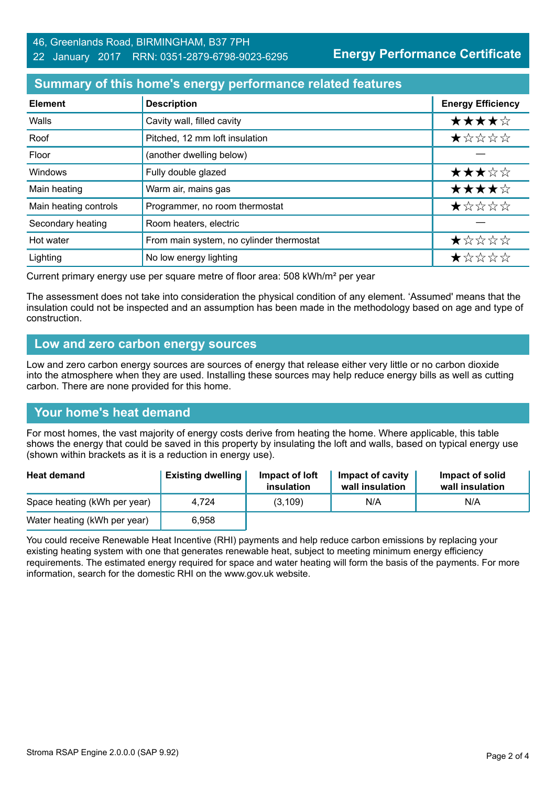**Energy Performance Certificate**

# **Summary of this home's energy performance related features**

| <b>Element</b>        | <b>Description</b>                       | <b>Energy Efficiency</b> |
|-----------------------|------------------------------------------|--------------------------|
| Walls                 | Cavity wall, filled cavity               | ★★★★☆                    |
| Roof                  | Pitched, 12 mm loft insulation           | *****                    |
| Floor                 | (another dwelling below)                 |                          |
| Windows               | Fully double glazed                      | ★★★☆☆                    |
| Main heating          | Warm air, mains gas                      | ★★★★☆                    |
| Main heating controls | Programmer, no room thermostat           | *****                    |
| Secondary heating     | Room heaters, electric                   |                          |
| Hot water             | From main system, no cylinder thermostat | ★☆☆☆☆                    |
| Lighting              | No low energy lighting                   | *****                    |

Current primary energy use per square metre of floor area: 508 kWh/m² per year

The assessment does not take into consideration the physical condition of any element. 'Assumed' means that the insulation could not be inspected and an assumption has been made in the methodology based on age and type of construction.

#### **Low and zero carbon energy sources**

Low and zero carbon energy sources are sources of energy that release either very little or no carbon dioxide into the atmosphere when they are used. Installing these sources may help reduce energy bills as well as cutting carbon. There are none provided for this home.

#### **Your home's heat demand**

For most homes, the vast majority of energy costs derive from heating the home. Where applicable, this table shows the energy that could be saved in this property by insulating the loft and walls, based on typical energy use (shown within brackets as it is a reduction in energy use).

| <b>Heat demand</b>           | <b>Existing dwelling</b> | Impact of loft<br>insulation | Impact of cavity<br>wall insulation | Impact of solid<br>wall insulation |
|------------------------------|--------------------------|------------------------------|-------------------------------------|------------------------------------|
| Space heating (kWh per year) | 4.724                    | (3, 109)                     | N/A                                 | N/A                                |
| Water heating (kWh per year) | 6,958                    |                              |                                     |                                    |

You could receive Renewable Heat Incentive (RHI) payments and help reduce carbon emissions by replacing your existing heating system with one that generates renewable heat, subject to meeting minimum energy efficiency requirements. The estimated energy required for space and water heating will form the basis of the payments. For more information, search for the domestic RHI on the www.gov.uk website.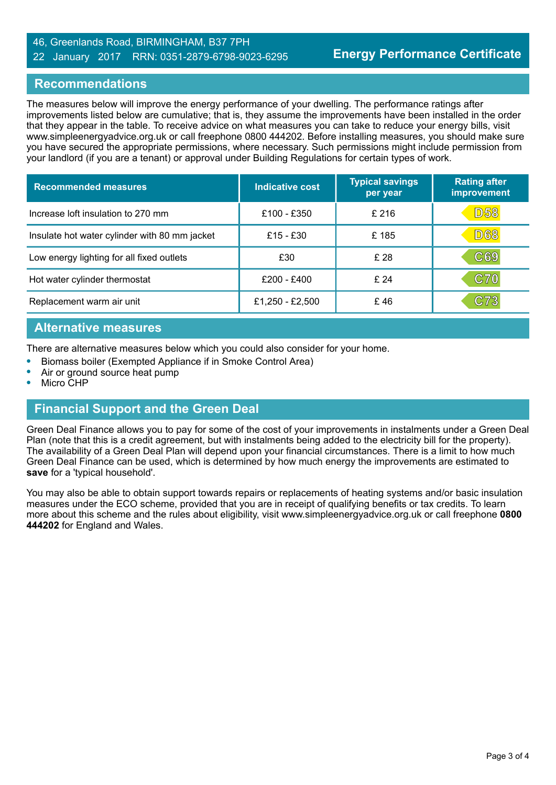#### 46, Greenlands Road, BIRMINGHAM, B37 7PH 22 January 2017 RRN: 0351-2879-6798-9023-6295

### **Recommendations**

The measures below will improve the energy performance of your dwelling. The performance ratings after improvements listed below are cumulative; that is, they assume the improvements have been installed in the order that they appear in the table. To receive advice on what measures you can take to reduce your energy bills, visit www.simpleenergyadvice.org.uk or call freephone 0800 444202. Before installing measures, you should make sure you have secured the appropriate permissions, where necessary. Such permissions might include permission from your landlord (if you are a tenant) or approval under Building Regulations for certain types of work.

| <b>Recommended measures</b>                   | Indicative cost | <b>Typical savings</b><br>per year | <b>Rating after</b><br>improvement |
|-----------------------------------------------|-----------------|------------------------------------|------------------------------------|
| Increase loft insulation to 270 mm            | £100 - £350     | £216                               | <b>D58</b>                         |
| Insulate hot water cylinder with 80 mm jacket | £15 - £30       | £185                               | <b>D68</b>                         |
| Low energy lighting for all fixed outlets     | £30             | £ 28                               | $\mathbb{C}69$                     |
| Hot water cylinder thermostat                 | £200 - £400     | £24                                | $\mathbf{C70}$                     |
| Replacement warm air unit                     | £1,250 - £2,500 | £46                                | $\mathbb{C}73$                     |

#### **Alternative measures**

There are alternative measures below which you could also consider for your home.

- **•** Biomass boiler (Exempted Appliance if in Smoke Control Area)
- **•** Air or ground source heat pump
- **•** Micro CHP

# **Financial Support and the Green Deal**

Green Deal Finance allows you to pay for some of the cost of your improvements in instalments under a Green Deal Plan (note that this is a credit agreement, but with instalments being added to the electricity bill for the property). The availability of a Green Deal Plan will depend upon your financial circumstances. There is a limit to how much Green Deal Finance can be used, which is determined by how much energy the improvements are estimated to **save** for a 'typical household'.

You may also be able to obtain support towards repairs or replacements of heating systems and/or basic insulation measures under the ECO scheme, provided that you are in receipt of qualifying benefits or tax credits. To learn more about this scheme and the rules about eligibility, visit www.simpleenergyadvice.org.uk or call freephone **0800 444202** for England and Wales.